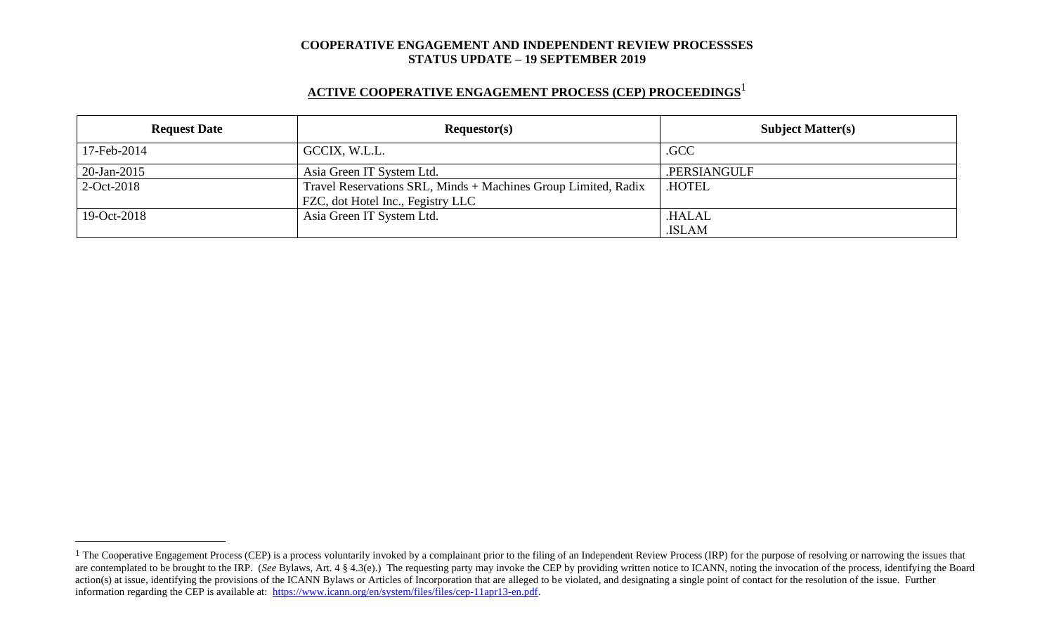# **ACTIVE COOPERATIVE ENGAGEMENT PROCESS (CEP) PROCEEDINGS** 1

| <b>Request Date</b> | Requestor(s)                                                                                        | <b>Subject Matter(s)</b> |  |
|---------------------|-----------------------------------------------------------------------------------------------------|--------------------------|--|
| 17-Feb-2014         | GCCIX, W.L.L.                                                                                       | .GCC                     |  |
| 20-Jan-2015         | Asia Green IT System Ltd.                                                                           | .PERSIANGULF             |  |
| $2$ -Oct-2018       | Travel Reservations SRL, Minds + Machines Group Limited, Radix<br>FZC, dot Hotel Inc., Fegistry LLC | <b>HOTEL</b>             |  |
| 19-Oct-2018         | Asia Green IT System Ltd.                                                                           | .HALAL                   |  |
|                     |                                                                                                     | .ISLAM                   |  |

<sup>&</sup>lt;sup>1</sup> The Cooperative Engagement Process (CEP) is a process voluntarily invoked by a complainant prior to the filing of an Independent Review Process (IRP) for the purpose of resolving or narrowing the issues that are contemplated to be brought to the IRP. (*See* Bylaws, Art. 4 § 4.3(e).) The requesting party may invoke the CEP by providing written notice to ICANN, noting the invocation of the process, identifying the Board action(s) at issue, identifying the provisions of the ICANN Bylaws or Articles of Incorporation that are alleged to be violated, and designating a single point of contact for the resolution of the issue. Further information regarding the CEP is available at: [https://www.icann.org/en/system/files/files/cep-11apr13-en.pdf.](https://www.icann.org/en/system/files/files/cep-11apr13-en.pdf)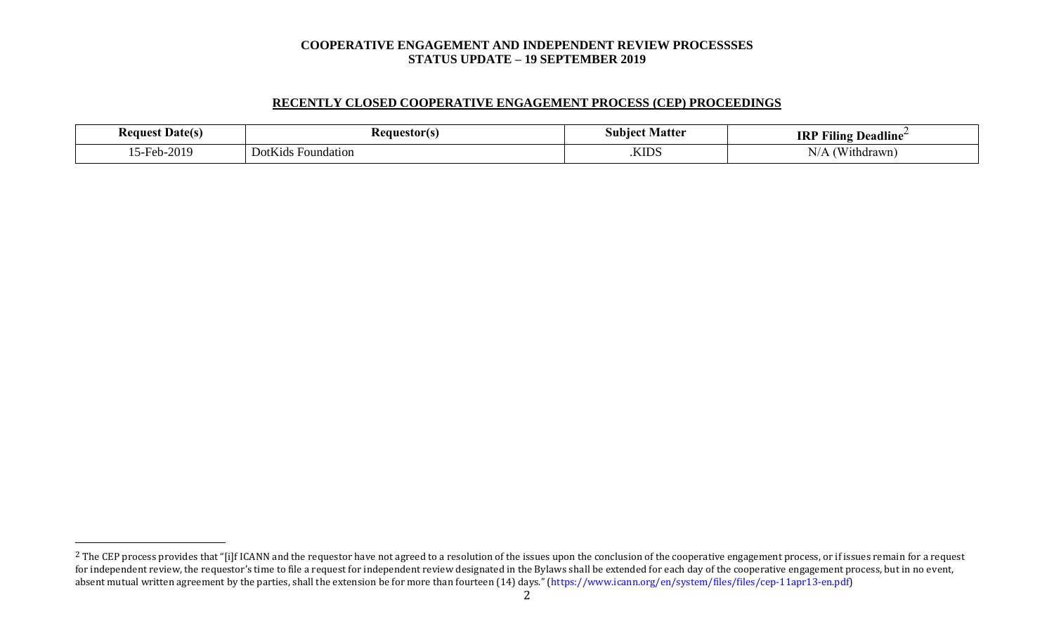## **RECENTLY CLOSED COOPERATIVE ENGAGEMENT PROCESS (CEP) PROCEEDINGS**

| : Date(s)<br>Request | kequestorts'                                            | $\sim$<br>Matte<br>sun | <br>----<br><b>IRI</b><br><b>Deadline</b><br><b>THIN!</b>              |
|----------------------|---------------------------------------------------------|------------------------|------------------------------------------------------------------------|
| $ -$<br>2010.        | $   -$<br>$\mathbf{D}$ otk<br>Foundation<br>K1ds.<br>νv | <b>KIDS</b>            | $\sim$ $\sim$ $\sim$ $\sim$<br>$\mathbf{r}$<br>'N<br>N/A<br>'ithdrawn' |

<sup>&</sup>lt;sup>2</sup> The CEP process provides that "[i]f ICANN and the requestor have not agreed to a resolution of the issues upon the conclusion of the cooperative engagement process, or if issues remain for a request for independent review, the requestor's time to file a request for independent review designated in the Bylaws shall be extended for each day of the cooperative engagement process, but in no event, absent mutual written agreement by the parties, shall the extension be for more than fourteen (14) days." (https://www.icann.org/en/system/files/files/cep-11apr13-en.pdf)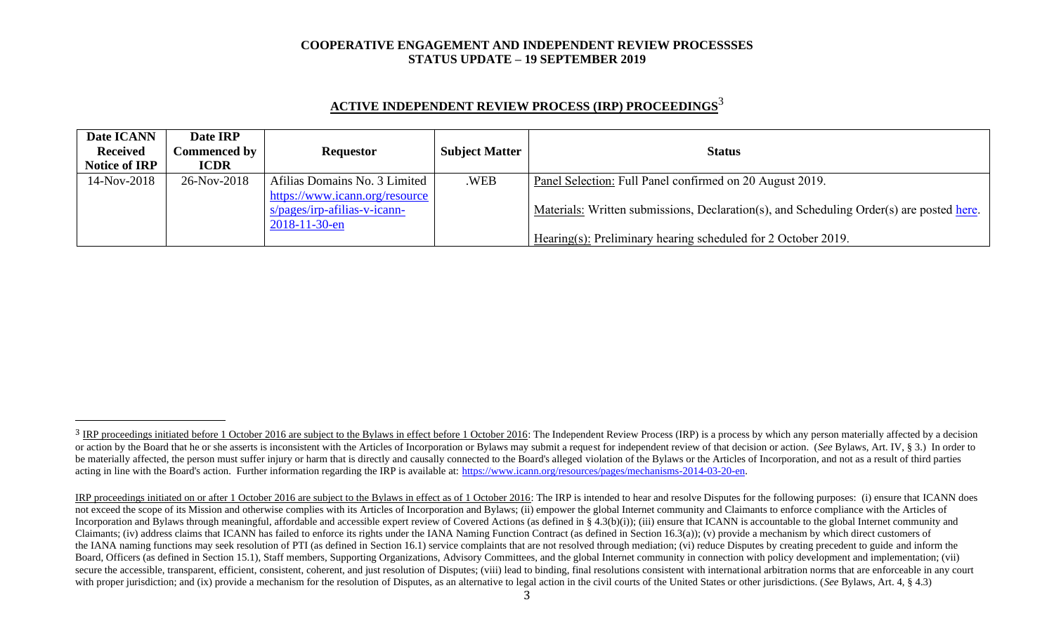| <b>ACTIVE INDEPENDENT REVIEW PROCESS (IRP) PROCEEDINGS<sup>3</sup></b> |  |
|------------------------------------------------------------------------|--|
|                                                                        |  |

| Date ICANN           | Date IRP            |                                |                       |                                                                                          |
|----------------------|---------------------|--------------------------------|-----------------------|------------------------------------------------------------------------------------------|
| <b>Received</b>      | <b>Commenced by</b> | <b>Requestor</b>               | <b>Subject Matter</b> | <b>Status</b>                                                                            |
| <b>Notice of IRP</b> | <b>ICDR</b>         |                                |                       |                                                                                          |
| 14-Nov-2018          | 26-Nov-2018         | Afilias Domains No. 3 Limited  | .WEB                  | Panel Selection: Full Panel confirmed on 20 August 2019.                                 |
|                      |                     | https://www.icann.org/resource |                       |                                                                                          |
|                      |                     | $s/pages/irp-afilias-v-icann-$ |                       | Materials: Written submissions, Declaration(s), and Scheduling Order(s) are posted here. |
|                      |                     | $2018 - 11 - 30 - en$          |                       |                                                                                          |
|                      |                     |                                |                       | Hearing(s): Preliminary hearing scheduled for 2 October 2019.                            |

<sup>&</sup>lt;sup>3</sup> IRP proceedings initiated before 1 October 2016 are subject to the Bylaws in effect before 1 October 2016: The Independent Review Process (IRP) is a process by which any person materially affected by a decision or action by the Board that he or she asserts is inconsistent with the Articles of Incorporation or Bylaws may submit a request for independent review of that decision or action. (See Bylaws, Art. IV, § 3.) In order to be materially affected, the person must suffer injury or harm that is directly and causally connected to the Board's alleged violation of the Bylaws or the Articles of Incorporation, and not as a result of third parties acting in line with the Board's action. Further information regarding the IRP is available at: [https://www.icann.org/resources/pages/mechanisms-2014-03-20-en.](https://www.icann.org/resources/pages/mechanisms-2014-03-20-en)

IRP proceedings initiated on or after 1 October 2016 are subject to the Bylaws in effect as of 1 October 2016: The IRP is intended to hear and resolve Disputes for the following purposes: (i) ensure that ICANN does not exceed the scope of its Mission and otherwise complies with its Articles of Incorporation and Bylaws; (ii) empower the global Internet community and Claimants to enforce compliance with the Articles of Incorporation and Bylaws through meaningful, affordable and accessible expert review of Covered Actions (as defined in § 4.3(b)(i)); (iii) ensure that ICANN is accountable to the global Internet community and Claimants; (iv) address claims that ICANN has failed to enforce its rights under the IANA Naming Function Contract (as defined in Section 16.3(a)); (v) provide a mechanism by which direct customers of the IANA naming functions may seek resolution of PTI (as defined in Section 16.1) service complaints that are not resolved through mediation; (vi) reduce Disputes by creating precedent to guide and inform the Board, Officers (as defined in Section 15.1), Staff members, Supporting Organizations, Advisory Committees, and the global Internet community in connection with policy development and implementation; (vii) secure the accessible, transparent, efficient, consistent, coherent, and just resolution of Disputes; (viii) lead to binding, final resolutions consistent with international arbitration norms that are enforceable in any co with proper jurisdiction; and (ix) provide a mechanism for the resolution of Disputes, as an alternative to legal action in the civil courts of the United States or other jurisdictions. (*See* Bylaws, Art. 4, § 4.3)